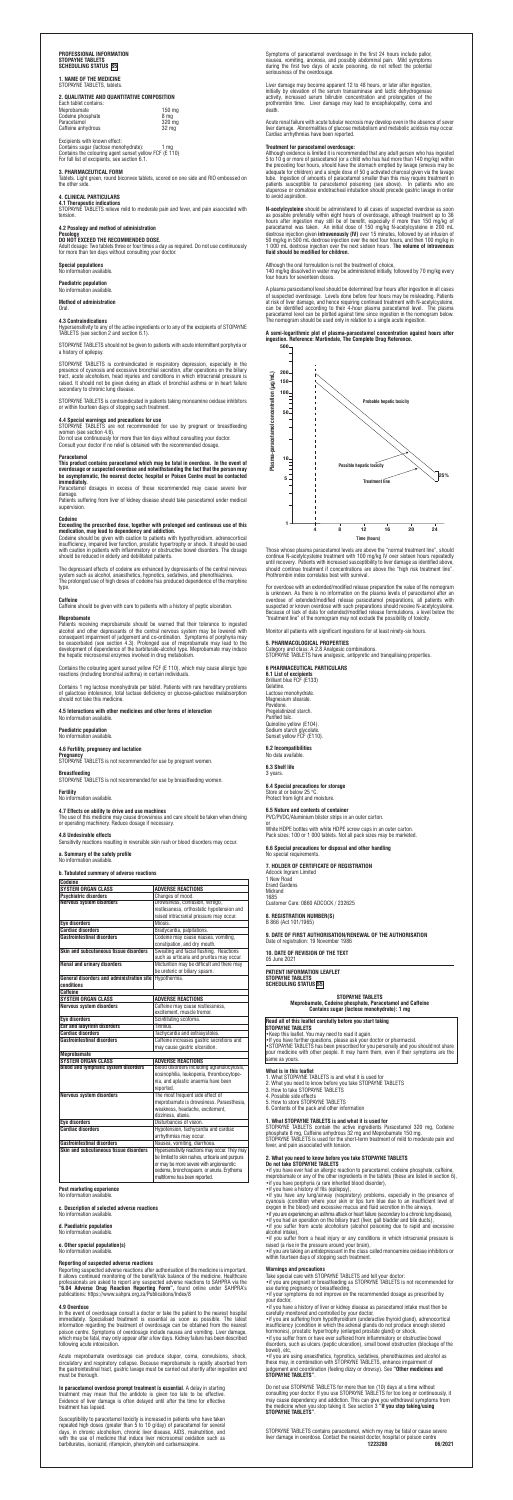# PROFESSIONAL INFORMATION<br>Stopayne Tablets<br>Scheduling Status <mark>(S5)</mark>

**1. NAME OF THE MEDICINE** STOPAYNE TABLETS, tablets

# **2. QUALITATIVE AND QUANTITATIVE COMPOSITION**

| Each tablet contains: |                   |
|-----------------------|-------------------|
| Meprobamate           | 150 <sub>mg</sub> |
| Codeine phosphate     | 8 ma              |
| Paracetamol           | 320 mg            |
| Caffeine anhydrous    | 32 ma             |
|                       |                   |

Excipients with known effect: Contains sugar (lactose monohydrate): 1 mg Contains the colouring agent sunset yellow FCF (E 110) For full list of excipients, see section 6.1.

# **3. PHARMACEUTICAL FORM**

Tablets. Light green, round biconvex tablets, scored on one side and RIO embossed on the other side.

## **4. CLINICAL PARTICULARS**

**4.1 Therapeutic indications** STOPAYNE TABLETS relieve mild to moderate pain and fever, and pain associated with tension.

# **4.2 Posology and method of administration**

**Posology<br>DO NOT EXCEED THE RECOMMENDED DOSE.**<br>Adult dosage: Two tablets three or four times a day as required. Do not use continuously<br>for more than ten days without consulting your doctor.

# **Special populations** No information available.

**Paediatric population** No information available.

# **Method of administration**

Oral.

# **4.3 Contraindications**

Hypersensitivity to any of the active ingredients or to any of the excipients of STOPAYNE TABLETS (see section 2 and section 6.1).

This product contains paracetamol which may be fatal in overdose. In the event of<br>overdosage or suspected overdose and notwithstanding the fact that the person may<br>be asymptomatic, the nearest doctor, hospital or Poison C **immediately.**

STOPAYNE TABLETS should not be given to patients with acute intermittent porphyria or a history of epilepsy.

STOPAYNE TABLETS is contraindicated in respiratory depression, especially in the presence of cyanosis and excessive bronchial secretion, after operations on the biliary tract, acute alcoholism, head injuries and conditions in which intracranial pressure is raised. It should not be given during an attack of bronchial asthma or in heart failure secondary to chronic lung disease.

**medication, may lead to dependency and addiction.**<br>Codeine should be given with caution to patients with hypothyroidism, adrenocortical<br>insufficiency, impaired liver function, prostatic hypertrophy or shock. It should be should be reduced in elderly and debilitated patients.

The depressant effects of codeine are enhanced by depressants of the central nervous<br>system such as alcohol, anaesthetics, hypnotics, sedatives, and phenothiazines.<br>The prolonged use of high doses of codeine has produced d type

Patients receiving meprobamate should be warned that their tolerance to ingested alcohol and other depressants of the central nervous system may be lowered with<br>consequent impairment of judgement and co-ordination. Symptoms of porphyria may<br>be exacerbated (see section 4.3). Prolonged use of meprobamate

STOPAYNE TABLETS is contraindicated in patients taking monoamine oxidase inhibitors or within fourteen days of stopping such treatment.

**4.4 Special warnings and precautions for use**<br>STOPAYNE TABLETS are not recommended for use by pregnant or breastfeeding<br>women (see section 4.6).

Do not use continuously for more than ten days without consulting your doctor. Consult your doctor if no relief is obtained with the recommended dosage.

### **Paracetamol**

Paracetamol dosages in excess of those recommended may cause severe liver damage. Patients suffering from liver of kidney disease should take paracetamol under medical

supervision.

# **Codeir**

# **Exceeding the prescribed dose, together with prolonged and continuous use of this**

### **Caffeine**

**In paracetamol overdose prompt treatment is essential**. A delay in starting<br>treatment may mean that the antidote is given too late to be effective.<br>Evidence of liver damage is often delayed until after the time for effect treatment has lapsed.

Caffeine should be given with care to patients with a history of peptic ulceration.

# **Meprobamate**

Susceptibility to paracetamol toxicity is increased in patients who have taken<br>repeated high doses (greater than 5 to 10 g/day) of paracetamol for several<br>days, in chronic alcoholism, chronic liver disease, AIDS, malnutrit with the use of medicine that induce liver microsomal oxidation such as barbiturates, isoniazid, rifampicin, phenytoin and carbamazepine.

Contains the colouring agent sunset yellow FCF (E 110), which may cause allergic type reactions (including bronchial asthma) in certain individuals.

Contains 1 mg lactose monohydrate per tablet. Patients with rare hereditary problems of galactose intolerance, total lactase deficiency or glucose-galactose malabsorption should not take this medicine.

### **4.5 Interactions with other medicines and other forms of interaction** No information available.

**Paediatric population** No information available.

# **4.6 Fertility, pregnancy and lactation**

**Pregnancy** STOPAYNE TABLETS is not recommended for use by pregnant women.

**Breastfeeding** STOPAYNE TABLETS is not recommended for use by breastfeeding women. **Fertility**

# No information available.

A plasma paracetamol level should be determined four hours after ingestion in all cases of suspected overdosage. Levels done before four hours may be misleading. Patients<br>at risk of liver damage, and hence requiring continued treatment with N-acetylcysteine,<br>can be identified according to their 4-hour plasma

## **4.7 Effects on ability to drive and use machines**

The use of this medicine may cause drowsiness and care should be taken when driving or operating machinery. Reduce dosage if necessary.

**4.8 Undesirable effects**  Sensitivity reactions resulting in reversible skin rash or blood disorders may occur. **a. Summary of the safety profile**

No information available.

# **b. Tabulated summary of adverse reactions**

**c. Description of selected adverse reactions** No information available.

For overdose with an extended/modified release preparation the value of the nomogram is unknown. As there is no information on the plasma levels of paracetamol after an overdose of extended/modified release paracetamol preparations, all patients with suspected or known overdose with such preparations should receive N-acetylcysteine.<br>Because of lack of data for extended/modified release formulations, a level below the<br>"treatment line" of the nomogram may not exclude the

### **d. Paediatric population**

No information available.

**e. Other special population(s)**  No information available.

## **Reporting of suspected adverse reactions**

Reporting suspected adverse reactions after authorisation of the medicine is important.<br>It allows continued monitoring of the benefit/risk balance of the medicine. Healthcare<br>professionals are asked to report any suspected

**4.9 Overdose**<br>In the event of overdosage consult a doctor or take the patient to the nearest hospital<br>Inmediately. Specialised treatment is essential as soon as possible. The latest<br>information regarding the treatment of following acute intoxication

**9. DATE OF FIRST AUTHORISATION/RENEWAL OF THE AUTHORISATION**  Date of registration: 19 November 1986

**10. DATE OF REVISION OF THE TEXT**  05 June 2021

Acute meprobamate overdosage can produce stupor, coma, convulsions, shock, circulatory and respiratory collapse. Because meprobamate is rapidly absorbed from the gastrointestinal tract, gastric lavage must be carried out shortly after ingestion and must be thorough.

•If you have further questions, please ask your doctor or pharmacist.<br>•STOPAYNE TABLETS has been prescribed for you personally and you should not share<br>your medicine with other people. It may harm them, even if their sympt same as yours.

STOPAYNE TABLETS contain the active ingredients Paracetamol 320 mg, Codeine<br>phosphate 8 mg, Caffeine anhydrous 32 mg and Meprobamate 150 mg.<br>STOPAYNE TABLETS is used for the short-term treatment of mild to moderate pain an fever, and pain associated with tension.

Symptoms of paracetamol overdosage in the first 24 hours include pallor, nausea, vomiting, anorexia, and possibly abdominal pain. Mild symptoms during the first two days of acute poisoning, do not reflect the potential seriousness of the overdosage.

Liver damage may become apparent 12 to 48 hours, or later after ingestion, initially by elevation of the serum transaminase and lactic dehydrogenase activity, increased serum bilirubin concentration and prolongation of the prothrombin time. Liver damage may lead to encephalopathy, coma and death.

Acute renal failure with acute tubular necrosis may develop even in the absence of sever liver damage. Abnormalities of glucose metabolism and metabolic acidosis may occur. Cardiac arrhythmias have been reported.

Do not use STOPAYNE TABLETS for more than ten (10) days at a time without<br>consulting your doctor. If you use STOPAYNE TABLETS for too long or continuously, it<br>may cause dependency and addiction. This can give you withdrawa **STOPAYNE TABLETS"**.

**Treatment for paracetamol overdosage:** Although evidence is limited it is recommended that any adult person who has ingested 5 to 10 g or more of paracetamol (or a child who has had more than 140 mg/kg) within<br>the preceding four hours, should have the stomach emptied by lavage (emesis may be<br>adequate for children) and a single dose of 50 g activ tube. Ingestion of amounts of paracetamol smaller than this may require treatment in patients susceptible to paracetamol poisoning (see above). In patients who are stuperose or comatose endotracheal intubation should precede gastric lavage in order to avoid aspiration.

**N-acetylcysteine** should be administered to all cases of suspected overdose as as possible preferably within eight hours of overdosage, although treatment up to 36 hours after ingestion may still be of benefit, especially if more than 150 mg/kg of paracetarol was taken. An initial dose of 150 mg/kg N-acetylcysteine in 200 mL dextrose injection given intravenously (IV) over 15 minute

### Although the oral formulation is not the treatment of choice,

140 mg/kg dissolved in water may be administered initially, followed by 70 mg/kg every four hours for seventeen doses.

# **A semi-logarithmic plot of plasma-paracetamol concentration against hours after ingestion. Reference: Martindale, The Complete Drug Reference.**

Those whose plasma paracetamol levels are above the "normal treatment line", should continue N-acetylcysteine treatment with 100 mg/kg IV over sixteen hours repeatedly until recovery. Patients with increased susceptibility to liver damage as identified above, should continue treatment if concentrations are above the "high risk treatment line". Prothrombin index correlates best with survival.

Monitor all patients with significant ingestions for at least ninety-six hours.

# **5. PHARMACOLOGICAL PROPERTIES**

Category and class: A 2.8 Analgesic combinations. STOPAYNE TABLETS have analgesic, antipyretic and tranquilising properties.

## **6 PHARMACEUTICAL PARTICULARS**

**6.1 List of excipients**  Brilliant blue FCF (E133) Gelatine. Lactose monohydrate. Magnesium stearate. Povidone. Pregelatinized starch. Purified talc. Quinoline yellow (E104). Sodium starch glycolate. Sunset yellow FCF (E110).

### **6.2 Incompatibilities**  No data available.

**6.3 Shelf life** 

3 years.

# **6.4 Special precautions for storage**

Store at or below 25 °C. Protect from light and moisture.

### **6.5 Nature and contents of container**  PVC/PVDC/Aluminium blister strips in an outer carton.

or White HDPE bottles with white HDPE screw caps in an outer carton. Pack sizes: 100 or 1 000 tablets. Not all pack sizes may be marketed.

**6.6 Special precautions for disposal and other handling** No special requirements.

## **7. HOLDER OF CERTIFICATE OF REGISTRATION**

Adcock Ingram Limited 1 New Road Erand Gardens Midrand 1685 Customer Care: 0860 ADCOCK / 232625

# **8. REGISTRATION NUMBER(S)**

B 866 (Act 101/1965)

**PATIENT INFORMATION LEAFLET STOPAYNE TABLETS SCHEDULING STATUS S5**

> **STOPAYNE TABLETS Meprobamate, Codeine phosphate, Paracetamol and Caffeine Contains sugar (lactose monohydrate): 1 mg**

# **Read all of this leaflet carefully before you start taking STOPAYNE TABLETS**

•Keep this leaflet. You may need to read it again.

# **What is in this leaflet**

- 
- 1. What STOPAYNE TABLETS is and what it is used for 2. What you need to know before you take STOPAYNE TABLETS 3. How to take STOPAYNE TABLETS
- 
- 4. Possible side effects 5. How to store STOPAYNE TABLETS
- 
- 6. Contents of the pack and other information

### **1. What STOPAYNE TABLETS is and what it is used for**

### **2. What you need to know before you take STOPAYNE TABLETS Do not take STOPAYNE TABLETS**

• if you have ever had an allergic reaction to paracetamol, codeine phosphate, caffeine,<br>meprobamate or any of the other ingredients in the tablets (these are listed in section 6)<br>• if you have porphyria (a rare inherited

• if you have a history of fits (epilepsy),<br>• if you have any lung/airway (respiratory) problems, especially in the presence or<br>cyanosis (condition where your skin or lips turn blue due to an insufficient level of<br>oxygen

- 
- •if you suffer from acute alcoholism (alcohol poisoning due to rapid and excessive alcohol intake),

• if you suffer from a head injury or any conditions in which intracranial pressure is<br>raised (a rise in the pressure around your brain),<br>• if you are taking an antidepressant in the class called monoamine oxidase inhibito

### **Warnings and precautions**

Take special care with STOPAYNE TABLETS and tell your doctor:<br>•if you are pregnant or breastfeeding as STOPAYNE TABLETS is not recommended for<br>use during pregnancy or breastfeeding,<br>•if your symptoms do not improve on the

your doctor, •if you have a history of liver or kidney disease as paracetamol intake must then be

carefully monitored and controlled by your doctor,<br>•if you are suffering from hypothyroidism (underactive thyroid gland), adrenocortical<br>insufficiency (condition in which the adrenal glands do not produce enough steroid<br>ho

•if you suffer from or have ever suffered from inflammatory or obstructive bowel disorders, such as ulcers (peptic ulceration), small bowel obstruction (blockage of the

bowel), etc,<br>•if you are using anaesthetics, hypnotics, sedatives, phenothiazines and alcohol as<br>these may, in combination with STOPAYNE TABLETS, enhance impairment of<br>judgement and coordination (feeling dizzy or drowsy).



| Codeine                                                |                                                  |  |
|--------------------------------------------------------|--------------------------------------------------|--|
| <b>SYSTEM ORGAN CLASS</b>                              | <b>ADVERSE REACTIONS</b>                         |  |
| <b>Psychiatric disorders</b>                           | Changes of mood.                                 |  |
| <b>Nervous system disorders</b>                        | Drowsiness, confusion, vertigo,                  |  |
|                                                        | restlessness, orthostatic hypotension and        |  |
|                                                        | raised intracranial pressure may occur.          |  |
| <b>Eye disorders</b>                                   | Miosis.                                          |  |
| <b>Cardiac disorders</b>                               | Bradycardia, palpitations.                       |  |
| <b>Gastrointestinal disorders</b>                      | Codeine may cause nausea, vomiting,              |  |
|                                                        | constipation, and dry mouth.                     |  |
| Skin and subcutaneous tissue disorders                 | Sweating and facial flushing. Reactions          |  |
|                                                        | such as urticaria and pruritus may occur.        |  |
| <b>Renal and urinary disorders</b>                     | Micturition may be difficult and there may       |  |
|                                                        | be ureteric or biliary spasm.                    |  |
| General disorders and administration site Hypothermia. |                                                  |  |
| conditions                                             |                                                  |  |
| Caffeine                                               |                                                  |  |
| <b>SYSTEM ORGAN CLASS</b>                              | <b>ADVERSE REACTIONS</b>                         |  |
| Nervous system disorders                               | Caffeine may cause restlessness,                 |  |
|                                                        | excitement, muscle tremor.                       |  |
| <b>Eve disorders</b>                                   | Scintillating scotoma.                           |  |
| <b>Ear and labyrinth disorders</b>                     | Tinnitus.                                        |  |
| <b>Cardiac disorders</b>                               | Tachycardia and extrasystoles.                   |  |
| <b>Gastrointestinal disorders</b>                      | Caffeine increases gastric secretions and        |  |
|                                                        | may cause gastric ulceration.                    |  |
| <b>Meprobamate</b>                                     |                                                  |  |
| <b>SYSTEM ORGAN CLASS</b>                              | <b>ADVERSE REACTIONS</b>                         |  |
| <b>Blood and lymphatic system disorders</b>            | Blood disorders including agranulocytosis,       |  |
|                                                        | eosinophilia, leukopenia, thrombocytope-         |  |
|                                                        | nia, and aplastic anaemia have been              |  |
|                                                        | reported.                                        |  |
| Nervous system disorders                               | The most frequent side effect of                 |  |
|                                                        | meprobamate is drowsiness. Paraesthesia.         |  |
|                                                        | weakness, headache, excitement,                  |  |
|                                                        | dizziness, ataxia.                               |  |
| <b>Eve disorders</b>                                   | Disturbances of vision.                          |  |
| <b>Cardiac disorders</b>                               | Hypotension, tachycardia and cardiac             |  |
|                                                        | arrhythmias may occur.                           |  |
| <b>Gastrointestinal disorders</b>                      | Nausea, vomiting, diarrhoea.                     |  |
| Skin and subcutaneous tissue disorders                 | Hypersensitivity reactions may occur. They may   |  |
|                                                        | be limited to skin rashes, urticaria and purpura |  |
|                                                        | or may be more severe with angioneurotic         |  |
|                                                        | oedema, bronchospasm, or anuria. Erythema        |  |
|                                                        | multiforme has been reported.                    |  |

**Post marketing experience**<br>No information available

No information

STOPAYNE TABLETS contains paracetamol, which my may be fatal or cause severe liver damage in overdose. Contact the nearest doctor, hospital or poison centre  **1223280 06/2021**